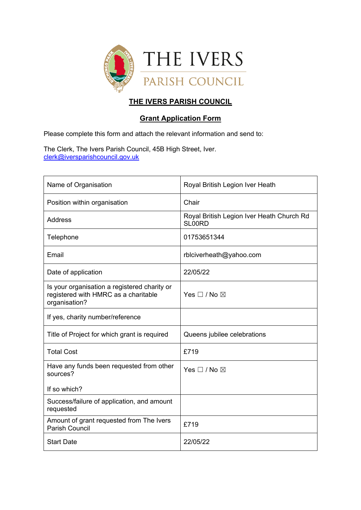

## **THE IVERS PARISH COUNCIL**

## **Grant Application Form**

Please complete this form and attach the relevant information and send to:

The Clerk, The Ivers Parish Council, 45B High Street, Iver. [clerk@iversparishcouncil.gov.uk](mailto:clerk@iversparishcouncil.gov.uk)

| Name of Organisation                                                                                  | Royal British Legion Iver Heath                     |
|-------------------------------------------------------------------------------------------------------|-----------------------------------------------------|
| Position within organisation                                                                          | Chair                                               |
| <b>Address</b>                                                                                        | Royal British Legion Iver Heath Church Rd<br>SL00RD |
| Telephone                                                                                             | 01753651344                                         |
| Email                                                                                                 | rblciverheath@yahoo.com                             |
| Date of application                                                                                   | 22/05/22                                            |
| Is your organisation a registered charity or<br>registered with HMRC as a charitable<br>organisation? | Yes $\square$ / No $\square$                        |
| If yes, charity number/reference                                                                      |                                                     |
| Title of Project for which grant is required                                                          | Queens jubilee celebrations                         |
| <b>Total Cost</b>                                                                                     | £719                                                |
| Have any funds been requested from other<br>sources?                                                  | Yes $\square$ / No $\square$                        |
| If so which?                                                                                          |                                                     |
| Success/failure of application, and amount<br>requested                                               |                                                     |
| Amount of grant requested from The Ivers<br><b>Parish Council</b>                                     | £719                                                |
| <b>Start Date</b>                                                                                     | 22/05/22                                            |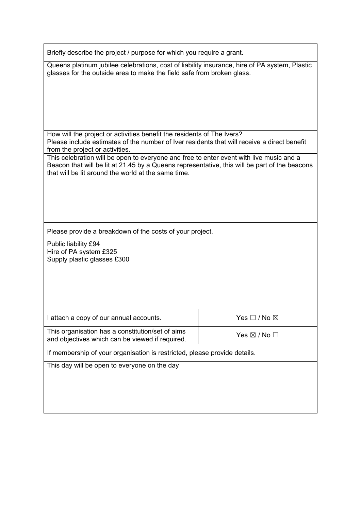Briefly describe the project / purpose for which you require a grant.

Queens platinum jubilee celebrations, cost of liability insurance, hire of PA system, Plastic glasses for the outside area to make the field safe from broken glass.

How will the project or activities benefit the residents of The Ivers? Please include estimates of the number of Iver residents that will receive a direct benefit from the project or activities.

This celebration will be open to everyone and free to enter event with live music and a Beacon that will be lit at 21.45 by a Queens representative, this will be part of the beacons that will be lit around the world at the same time.

Please provide a breakdown of the costs of your project.

Public liability £94 Hire of PA system £325 Supply plastic glasses £300

| I attach a copy of our annual accounts.                                                             | Yes $\square$ / No $\square$ |
|-----------------------------------------------------------------------------------------------------|------------------------------|
| This organisation has a constitution/set of aims<br>and objectives which can be viewed if required. | Yes $\boxtimes$ / No $\Box$  |

If membership of your organisation is restricted, please provide details.

This day will be open to everyone on the day